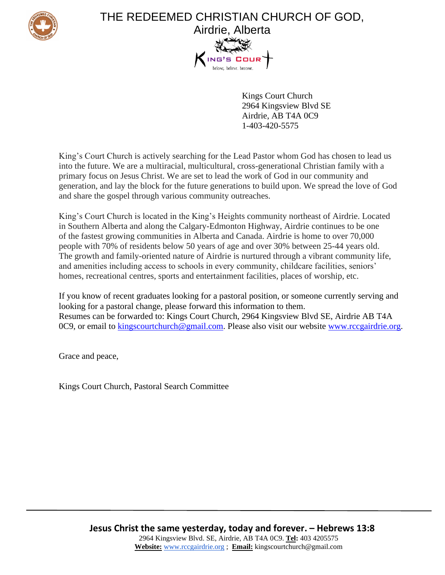

## THE REDEEMED CHRISTIAN CHURCH OF GOD, Airdrie, Alberta

Kings Court Church 2964 Kingsview Blvd SE Airdrie, AB T4A 0C9 1-403-420-5575

King's Court Church is actively searching for the Lead Pastor whom God has chosen to lead us into the future. We are a multiracial, multicultural, cross-generational Christian family with a primary focus on Jesus Christ. We are set to lead the work of God in our community and generation, and lay the block for the future generations to build upon. We spread the love of God and share the gospel through various community outreaches.

King's Court Church is located in the King's Heights community northeast of Airdrie. Located in Southern Alberta and along the Calgary-Edmonton Highway, Airdrie continues to be one of the fastest growing communities in Alberta and Canada. Airdrie is home to over 70,000 people with 70% of residents below 50 years of age and over 30% between 25-44 years old. The growth and family-oriented nature of Airdrie is nurtured through a vibrant community life, and amenities including access to schools in every community, childcare facilities, seniors' homes, recreational centres, sports and entertainment facilities, places of worship, etc.

If you know of recent graduates looking for a pastoral position, or someone currently serving and looking for a pastoral change, please forward this information to them. Resumes can be forwarded to: Kings Court Church, 2964 Kingsview Blvd SE, Airdrie AB T4A 0C9, or email to [kingscourtchurch@gmail.com.](mailto:kingscourtchurch@gmail.com) Please also visit our website [www.rccgairdrie.org.](http://www.rccgairdrie.org/)

Grace and peace,

Kings Court Church, Pastoral Search Committee